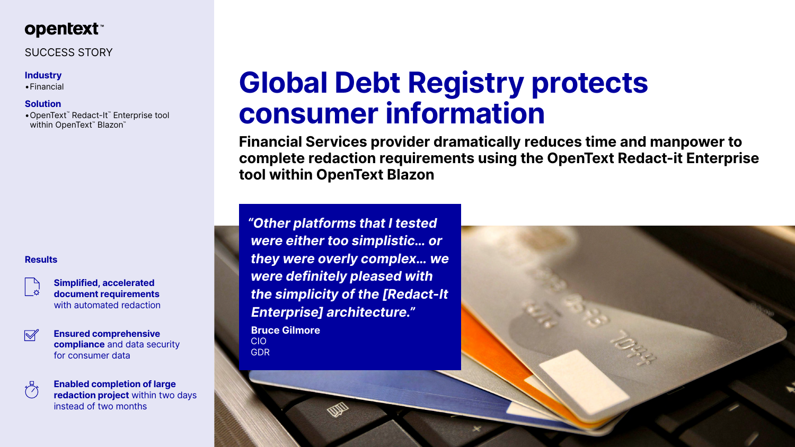# **opentext™**

## SUCCESS STORY

### **Industry**

•OpenText™ Redact-It™ Enterprise tool within OpenText<sup>™</sup> Blazon<sup>™</sup>

•Financial

### **Solution**

# **Global Debt Registry protects consumer information**

**Financial Services provider dramatically reduces time and manpower to complete redaction requirements using the OpenText Redact-it Enterprise tool within OpenText Blazon**

*"Other platforms that I tested were either too simplistic… or they were overly complex… we were definitely pleased with the simplicity of the [Redact-It Enterprise] architecture."* **Bruce Gilmore**  CIO GDR



### **Results**



**Simplified, accelerated document requirements** with automated redaction



**Ensured comprehensive compliance** and data security for consumer data



**Enabled completion of large redaction project** within two days instead of two months